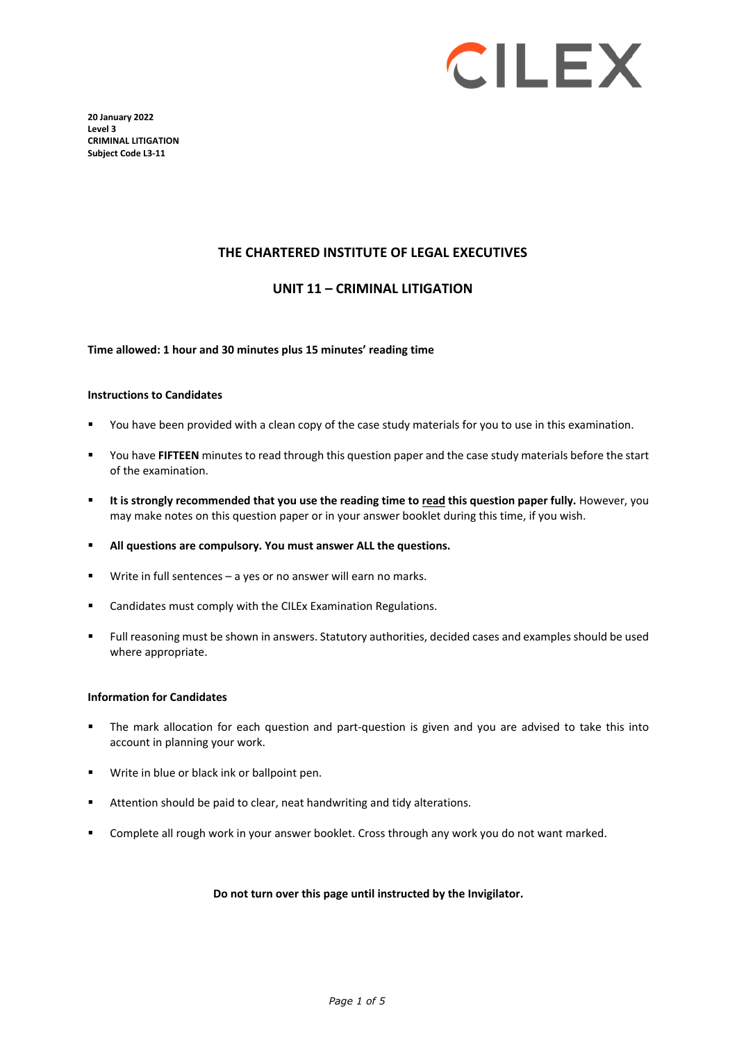

**20 January 2022 Level 3 CRIMINAL LITIGATION Subject Code L3-11** 

#### **THE CHARTERED INSTITUTE OF LEGAL EXECUTIVES**

#### **UNIT 11 – CRIMINAL LITIGATION**

#### **Time allowed: 1 hour and 30 minutes plus 15 minutes' reading time**

#### **Instructions to Candidates**

- You have been provided with a clean copy of the case study materials for you to use in this examination.
- You have **FIFTEEN** minutes to read through this question paper and the case study materials before the start of the examination.
- **It is strongly recommended that you use the reading time to read this question paper fully.** However, you may make notes on this question paper or in your answer booklet during this time, if you wish.
- **All questions are compulsory. You must answer ALL the questions.**
- Write in full sentences a yes or no answer will earn no marks.
- **EXEC** Candidates must comply with the CILEx Examination Regulations.
- Full reasoning must be shown in answers. Statutory authorities, decided cases and examples should be used where appropriate.

#### **Information for Candidates**

- The mark allocation for each question and part-question is given and you are advised to take this into account in planning your work.
- **Write in blue or black ink or ballpoint pen.**
- Attention should be paid to clear, neat handwriting and tidy alterations.
- Complete all rough work in your answer booklet. Cross through any work you do not want marked.

#### **Do not turn over this page until instructed by the Invigilator.**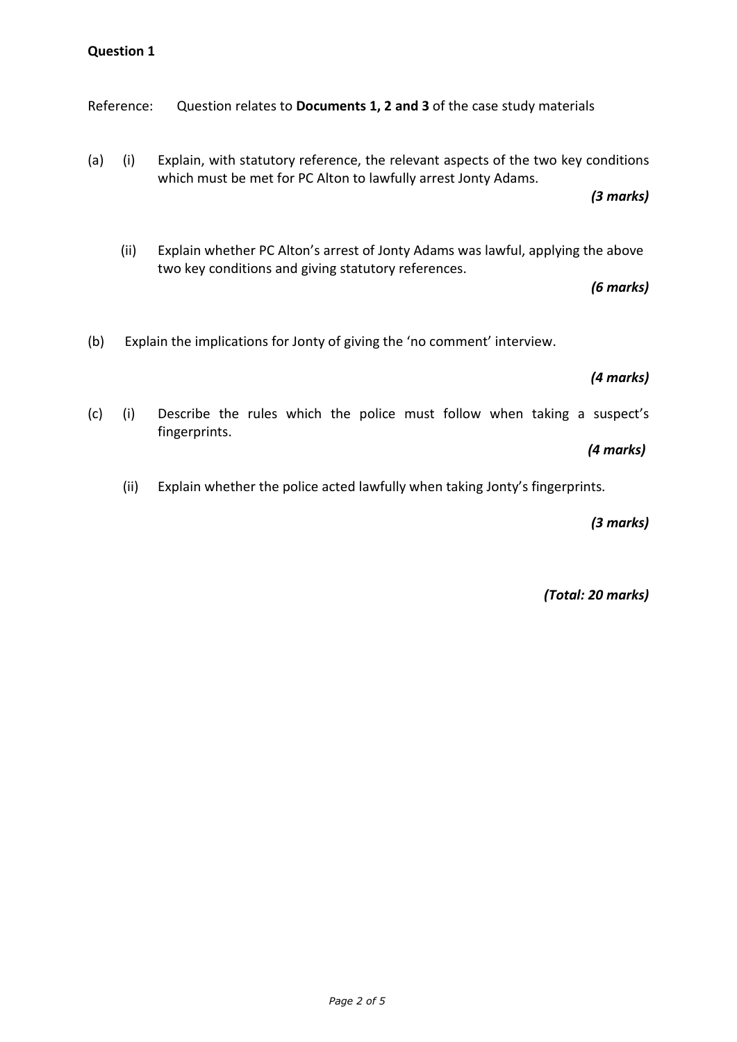Reference: Question relates to **Documents 1, 2 and 3** of the case study materials

(a) (i) Explain, with statutory reference, the relevant aspects of the two key conditions which must be met for PC Alton to lawfully arrest Jonty Adams.

*(3 marks)*

(ii) Explain whether PC Alton's arrest of Jonty Adams was lawful, applying the above two key conditions and giving statutory references.

*(6 marks)*

(b) Explain the implications for Jonty of giving the 'no comment' interview.

# *(4 marks)*

(c) (i) Describe the rules which the police must follow when taking a suspect's fingerprints.

### *(4 marks)*

(ii) Explain whether the police acted lawfully when taking Jonty's fingerprints.

*(3 marks)*

*(Total: 20 marks)*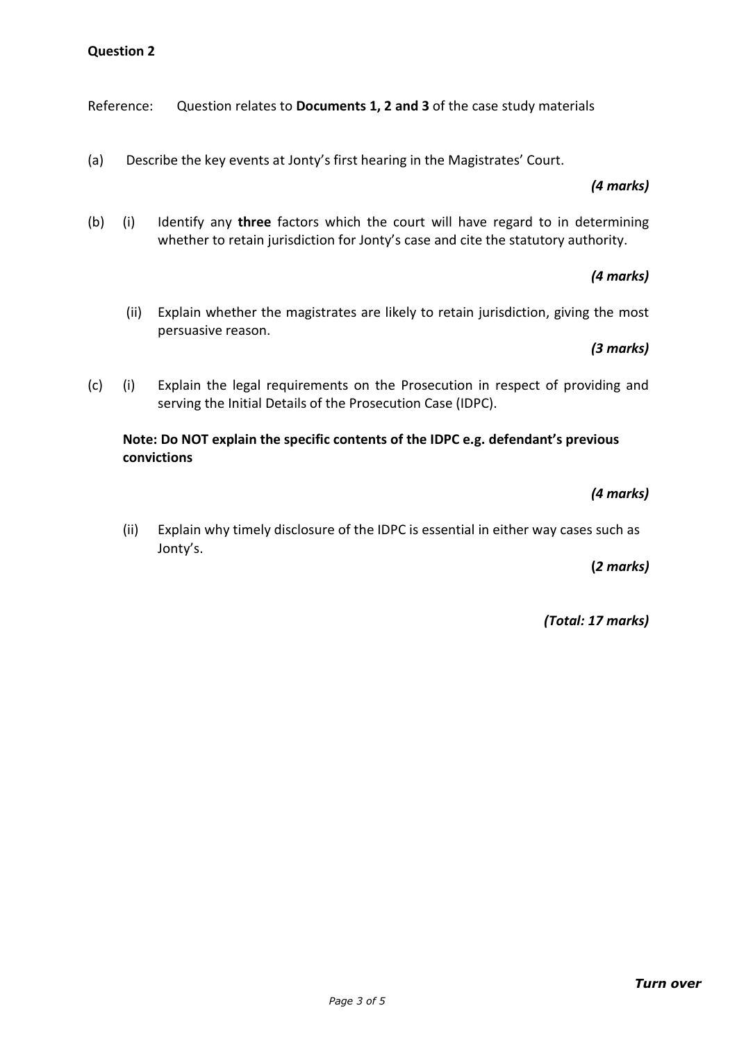Reference: Question relates to **Documents 1, 2 and 3** of the case study materials

(a) Describe the key events at Jonty's first hearing in the Magistrates' Court.

# *(4 marks)*

(b) (i) Identify any **three** factors which the court will have regard to in determining whether to retain jurisdiction for Jonty's case and cite the statutory authority.

# *(4 marks)*

(ii) Explain whether the magistrates are likely to retain jurisdiction, giving the most persuasive reason.

# *(3 marks)*

(c) (i) Explain the legal requirements on the Prosecution in respect of providing and serving the Initial Details of the Prosecution Case (IDPC).

# **Note: Do NOT explain the specific contents of the IDPC e.g. defendant's previous convictions**

# *(4 marks)*

(ii) Explain why timely disclosure of the IDPC is essential in either way cases such as Jonty's.

### **(***2 marks)*

*(Total: 17 marks)*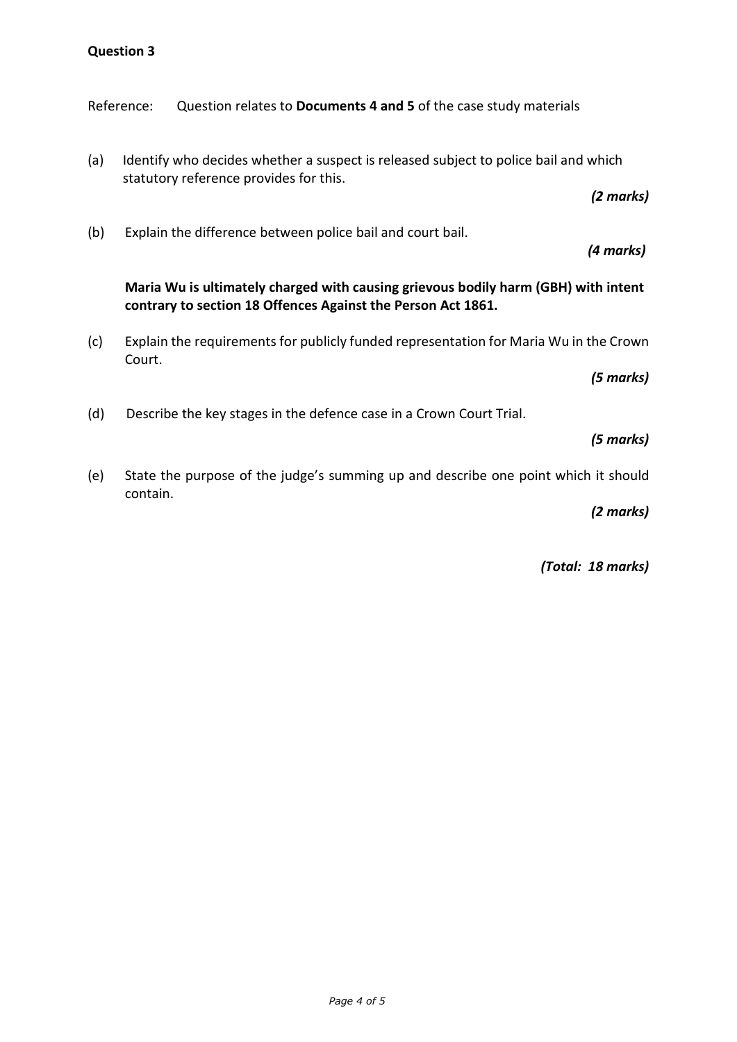Reference: Question relates to **Documents 4 and 5** of the case study materials

(a) Identify who decides whether a suspect is released subject to police bail and which statutory reference provides for this.

*(2 marks)*

*(4 marks)*

(b) Explain the difference between police bail and court bail.

# **Maria Wu is ultimately charged with causing grievous bodily harm (GBH) with intent contrary to section 18 Offences Against the Person Act 1861.**

(c) Explain the requirements for publicly funded representation for Maria Wu in the Crown Court.

*(5 marks)*

(d) Describe the key stages in the defence case in a Crown Court Trial.

#### *(5 marks)*

(e) State the purpose of the judge's summing up and describe one point which it should contain.

*(2 marks)*

*(Total: 18 marks)*